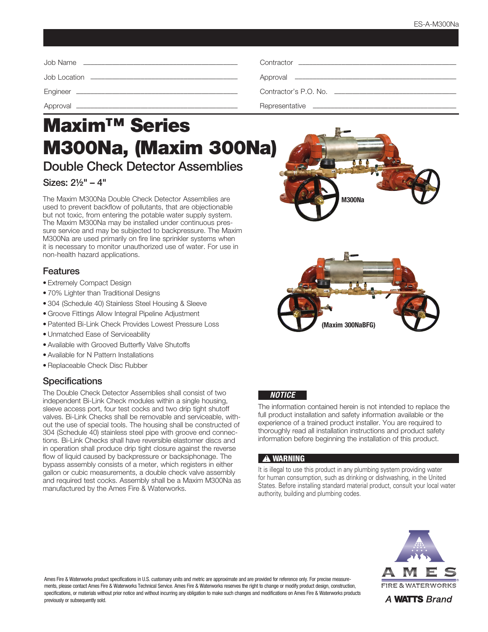| Contractor <b>Contractor Contractor Contractor Contractor Contractor Contractor</b> |
|-------------------------------------------------------------------------------------|
|                                                                                     |
|                                                                                     |
|                                                                                     |

# Maxim™ Series M300Na, (Maxim 300Na)

Double Check Detector Assemblies

# Sizes: 2½" – 4"

The Maxim M300Na Double Check Detector Assemblies are used to prevent backflow of pollutants, that are objectionable but not toxic, from entering the potable water supply system. The Maxim M300Na may be installed under continuous pressure service and may be subjected to backpressure. The Maxim M300Na are used primarily on fire line sprinkler systems when it is necessary to monitor unauthorized use of water. For use in non-health hazard applications.

#### Features

- Extremely Compact Design
- 70% Lighter than Traditional Designs
- 304 (Schedule 40) Stainless Steel Housing & Sleeve
- Groove Fittings Allow Integral Pipeline Adjustment
- Patented Bi-Link Check Provides Lowest Pressure Loss
- Unmatched Ease of Serviceability
- Available with Grooved Butterfly Valve Shutoffs
- Available for N Pattern Installations
- Replaceable Check Disc Rubber

## **Specifications**

The Double Check Detector Assemblies shall consist of two independent Bi-Link Check modules within a single housing, sleeve access port, four test cocks and two drip tight shutoff valves. Bi-Link Checks shall be removable and serviceable, without the use of special tools. The housing shall be constructed of 304 (Schedule 40) stainless steel pipe with groove end connections. Bi-Link Checks shall have reversible elastomer discs and in operation shall produce drip tight closure against the reverse flow of liquid caused by backpressure or backsiphonage. The bypass assembly consists of a meter, which registers in either gallon or cubic measurements, a double check valve assembly and required test cocks. Assembly shall be a Maxim M300Na as manufactured by the Ames Fire & Waterworks.





#### *NOTICE*

The information contained herein is not intended to replace the full product installation and safety information available or the experience of a trained product installer. You are required to thoroughly read all installation instructions and product safety information before beginning the installation of this product.

#### **!** WARNING

It is illegal to use this product in any plumbing system providing water for human consumption, such as drinking or dishwashing, in the United States. Before installing standard material product, consult your local water authority, building and plumbing codes.



Ames Fire & Waterworks product specifications in U.S. customary units and metric are approximate and are provided for reference only. For precise measurements, please contact Ames Fire & Waterworks Technical Service. Ames Fire & Waterworks reserves the right to change or modify product design, construction, specifications, or materials without prior notice and without incurring any obligation to make such changes and modifications on Ames Fire & Waterworks products previously or subsequently sold.

A WATTS Brand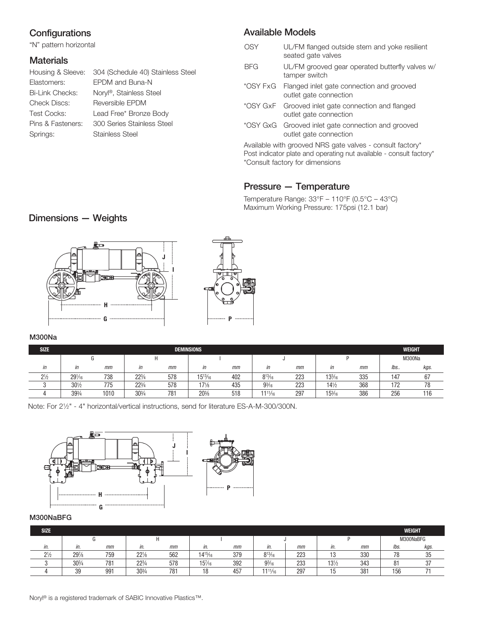# **Configurations**

"N" pattern horizontal

## **Materials**

|                    | Housing & Sleeve: 304 (Schedule 40) Stainless Steel |
|--------------------|-----------------------------------------------------|
| Elastomers:        | EPDM and Buna-N                                     |
| Bi-Link Checks:    | Noryl <sup>®</sup> , Stainless Steel                |
| Check Discs:       | Reversible EPDM                                     |
| <b>Test Cocks:</b> | Lead Free* Bronze Body                              |
| Pins & Fasteners:  | 300 Series Stainless Steel                          |
| Springs:           | <b>Stainless Steel</b>                              |
|                    |                                                     |

## Available Models

- OSY UL/FM flanged outside stem and yoke resilient seated gate valves
- BFG UL/FM grooved gear operated butterfly valves w/ tamper switch
- \*OSY FxG Flanged inlet gate connection and grooved outlet gate connection
- \*OSY GxF Grooved inlet gate connection and flanged outlet gate connection
- \*OSY GxG Grooved inlet gate connection and grooved outlet gate connection

Available with grooved NRS gate valves - consult factory\* Post indicator plate and operating nut available - consult factory\* \*Consult factory for dimensions

# Pressure — Temperature

Temperature Range: 33°F – 110°F (0.5°C – 43°C) Maximum Working Pressure: 175psi (12.1 bar)

# Dimensions — Weights



#### M300Na

| <b>SIZE</b>             |                  |      |                 |        | <b>DEMINSIONS</b> |     |                |     |                  |     |     | WEIGHT       |
|-------------------------|------------------|------|-----------------|--------|-------------------|-----|----------------|-----|------------------|-----|-----|--------------|
|                         |                  |      |                 |        |                   |     |                |     |                  |     |     | M300Na       |
| $^{\prime\prime\prime}$ | in               | mm   | in              | mm     | in                | mm  | in             | mm  | in               | mm  | lbs | kgs.         |
| $2\frac{1}{2}$          | $29\frac{1}{16}$ | 738  | $22^{3}/4$      | 578    | $15^{13}/_{16}$   | 402 | $8^{13}/_{16}$ | 223 | $13\frac{3}{16}$ | 335 | 147 | $\sim$<br>b/ |
|                         | $30\frac{1}{2}$  | 775  | $22\frac{3}{4}$ | 578    | $17\frac{1}{8}$   | 435 | $9^{3}/_{16}$  | 223 | $14\frac{1}{2}$  | 368 | 172 | 78           |
|                         | 393/4            | 1010 | $30\frac{3}{4}$ | $78 -$ | $20\%$            | 518 | 111/16         | 297 | $15\frac{3}{16}$ | 386 | 256 | 116          |

Note: For 21⁄2" - 4" horizontal/vertical instructions, send for literature ES-A-M-300/300N.



#### M300NaBFG

| <b>SIZE</b>    |                 |     |                 |                 |                  |     |                |     |                 |     |                           | <b>WEIGHT</b> |
|----------------|-----------------|-----|-----------------|-----------------|------------------|-----|----------------|-----|-----------------|-----|---------------------------|---------------|
|                |                 |     |                 |                 |                  |     |                |     |                 |     |                           | M300NaBFG     |
| in.            | in.             | mm  | in.             | mm              | in.              | mm  | in.            | mm  | in.             | mm  | lbs.                      | kgs.          |
| $2\frac{1}{2}$ | $29\%$          | 759 | $22\frac{1}{8}$ | 562             | $14^{15}/_{16}$  | 379 | $8^{13}/_{16}$ | 223 |                 | 330 | 78                        | 35            |
|                | $30\frac{3}{4}$ | 781 | $22^{3}/4$      | 578             | $15\frac{7}{16}$ | 392 | $9^{3}/_{16}$  | 233 | $13\frac{1}{2}$ | 343 | O <sub>1</sub><br>$\circ$ | $\sim$<br>υı  |
|                | 39              | 991 | $30\frac{3}{4}$ | 78 <sup>2</sup> | 18               | 457 | 111/16         | 297 |                 | 381 | 156                       |               |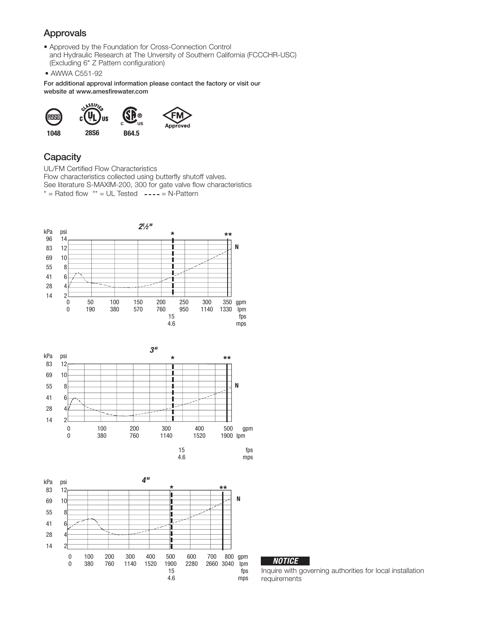# Approvals

- Approved by the Foundation for Cross-Connection Control and Hydraulic Research at The Unversity of Southern California (FCCCHR-USC) (Excluding 6" Z Pattern configuration)
- AWWA C551-92

For additional approval information please contact the factory or visit our website at www.amesfirewater.com



#### **Capacity**

UL/FM Certified Flow Characteristics Flow characteristics collected using butterfly shutoff valves. See literature S-MAXIM-200, 300 for gate valve flow characteristics  $*$  = Rated flow  $**$  = UL Tested  $---$  = N-Pattern







|--|

Inquire with governing authorities for local installation requirements